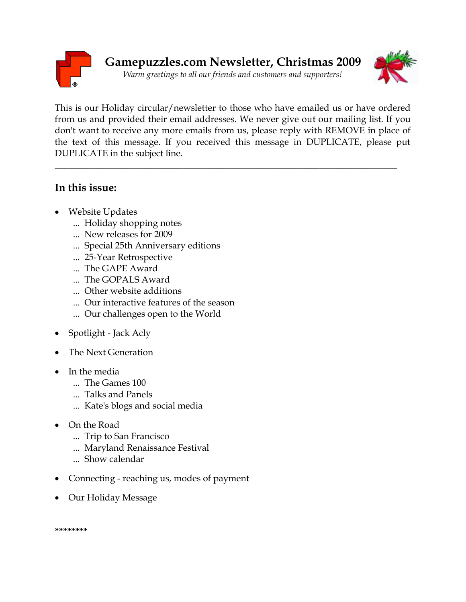



This is our Holiday circular/newsletter to those who have emailed us or have ordered from us and provided their email addresses. We never give out our mailing list. If you don't want to receive any more emails from us, please reply with REMOVE in place of the text of this message. If you received this message in DUPLICATE, please put DUPLICATE in the subject line.

\_\_\_\_\_\_\_\_\_\_\_\_\_\_\_\_\_\_\_\_\_\_\_\_\_\_\_\_\_\_\_\_\_\_\_\_\_\_\_\_\_\_\_\_\_\_\_\_\_\_\_\_\_\_\_\_\_\_\_\_\_\_\_\_\_\_\_\_\_\_\_\_\_\_\_

## **In this issue:**

- Website Updates
	- ... Holiday shopping notes
	- ... New releases for 2009
	- ... Special 25th Anniversary editions
	- ... 25-Year Retrospective
	- ... The GAPE Award
	- ... The GOPALS Award
	- ... Other website additions
	- ... Our interactive features of the season
	- ... Our challenges open to the World
- Spotlight Jack Acly
- The Next Generation
- In the media
	- ... The Games 100
	- ... Talks and Panels
	- ... Kate's blogs and social media
- On the Road
	- ... Trip to San Francisco
	- ... Maryland Renaissance Festival
	- ... Show calendar
- Connecting reaching us, modes of payment
- Our Holiday Message

**\*\*\*\*\*\*\*\***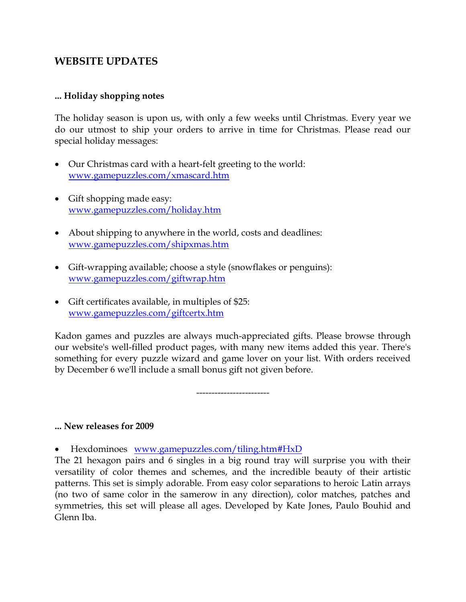## **WEBSITE UPDATES**

#### **... Holiday shopping notes**

The holiday season is upon us, with only a few weeks until Christmas. Every year we do our utmost to ship your orders to arrive in time for Christmas. Please read our special holiday messages:

- Our Christmas card with a heart-felt greeting to the world: [www.gamepuzzles.com/xmascard.htm](http://www.gamepuzzles.com/xmascard.htm)
- Gift shopping made easy: [www.gamepuzzles.com/holiday.htm](http://www.gamepuzzles.com/holiday.htm)
- About shipping to anywhere in the world, costs and deadlines: [www.gamepuzzles.com/shipxmas.htm](http://www.gamepuzzles.com/shipxmas.htm)
- Gift-wrapping available; choose a style (snowflakes or penguins): [www.gamepuzzles.com/giftwrap.htm](http://www.gamepuzzles.com/giftwrap.htm)
- Gift certificates available, in multiples of \$25: [www.gamepuzzles.com/giftcertx.htm](http://www.gamepuzzles.com/giftcertx.htm)

Kadon games and puzzles are always much-appreciated gifts. Please browse through our website's well-filled product pages, with many new items added this year. There's something for every puzzle wizard and game lover on your list. With orders received by December 6 we'll include a small bonus gift not given before.

------------------------

#### **... New releases for 2009**

Hexdominoes [www.gamepuzzles.com/tiling.htm#HxD](http://www.gamepuzzles.com/tiling.htm#HxD)

The 21 hexagon pairs and 6 singles in a big round tray will surprise you with their versatility of color themes and schemes, and the incredible beauty of their artistic patterns. This set is simply adorable. From easy color separations to heroic Latin arrays (no two of same color in the samerow in any direction), color matches, patches and symmetries, this set will please all ages. Developed by Kate Jones, Paulo Bouhid and Glenn Iba.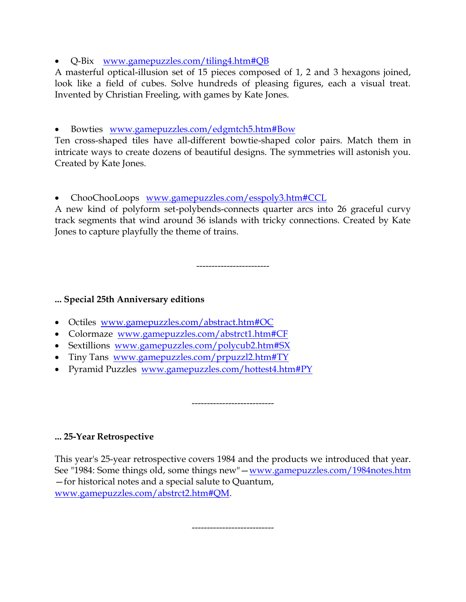Q-Bix [www.gamepuzzles.com/tiling4.htm#QB](http://www.gamepuzzles.com/tiling4.htm#QB)

A masterful optical-illusion set of 15 pieces composed of 1, 2 and 3 hexagons joined, look like a field of cubes. Solve hundreds of pleasing figures, each a visual treat. Invented by Christian Freeling, with games by Kate Jones.

Bowties [www.gamepuzzles.com/edgmtch5.htm#Bow](http://www.gamepuzzles.com/edgmtch5.htm#Bow)

Ten cross-shaped tiles have all-different bowtie-shaped color pairs. Match them in intricate ways to create dozens of beautiful designs. The symmetries will astonish you. Created by Kate Jones.

ChooChooLoops [www.gamepuzzles.com/esspoly3.htm#CCL](http://www.gamepuzzles.com/esspoly3.htm#CCL)

A new kind of polyform set-polybends-connects quarter arcs into 26 graceful curvy track segments that wind around 36 islands with tricky connections. Created by Kate Jones to capture playfully the theme of trains.

------------------------

### **... Special 25th Anniversary editions**

- Octiles [www.gamepuzzles.com/abstract.htm#OC](http://www.gamepuzzles.com/abstract.htm#OC)
- Colormaze [www.gamepuzzles.com/abstrct1.htm#CF](http://www.gamepuzzles.com/abstrct1.htm#CF)
- Sextillions [www.gamepuzzles.com/polycub2.htm#SX](http://www.gamepuzzles.com/polycub2.htm#SX)
- Tiny Tans [www.gamepuzzles.com/prpuzzl2.htm#TY](http://www.gamepuzzles.com/prpuzzl2.htm#TY)
- Pyramid Puzzles [www.gamepuzzles.com/hottest4.htm#PY](http://www.gamepuzzles.com/hottest4.htm#PY)

**... 25-Year Retrospective**

This year's 25-year retrospective covers 1984 and the products we introduced that year. See "1984: Some things old, some things new" — [www.gamepuzzles.com/1984notes.htm](http://www.gamepuzzles.com/1984notes.htm) —for historical notes and a special salute to Quantum, [www.gamepuzzles.com/abstrct2.htm#QM.](http://www.gamepuzzles.com/abstrct2.htm#QM)

---------------------------

---------------------------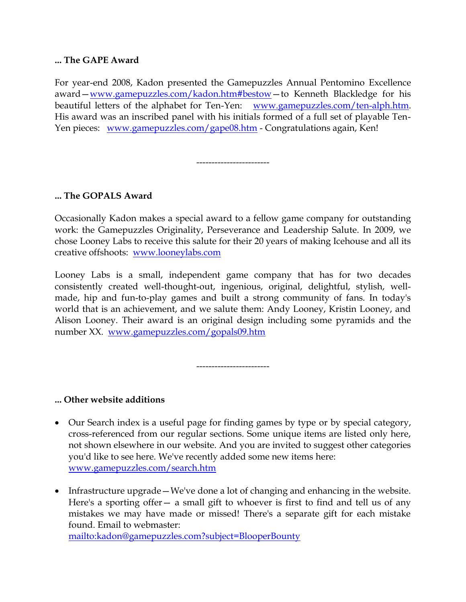### **... The GAPE Award**

For year-end 2008, Kadon presented the Gamepuzzles Annual Pentomino Excellence award—[www.gamepuzzles.com/kadon.htm#bestow](http://www.gamepuzzles.com/kadon.htm#bestow)—to Kenneth Blackledge for his beautiful letters of the alphabet for Ten-Yen: [www.gamepuzzles.com/ten-alph.htm.](http://www.gamepuzzles.com/ten-alph.htm) His award was an inscribed panel with his initials formed of a full set of playable Ten-Yen pieces: [www.gamepuzzles.com/gape08.htm](http://www.gamepuzzles.com/gape08.htm) - Congratulations again, Ken!

------------------------

### **... The GOPALS Award**

Occasionally Kadon makes a special award to a fellow game company for outstanding work: the Gamepuzzles Originality, Perseverance and Leadership Salute. In 2009, we chose Looney Labs to receive this salute for their 20 years of making Icehouse and all its creative offshoots: [www.looneylabs.com](http://www.looneylabs.com/)

Looney Labs is a small, independent game company that has for two decades consistently created well-thought-out, ingenious, original, delightful, stylish, wellmade, hip and fun-to-play games and built a strong community of fans. In today's world that is an achievement, and we salute them: Andy Looney, Kristin Looney, and Alison Looney. Their award is an original design including some pyramids and the number XX. [www.gamepuzzles.com/gopals09.htm](http://www.gamepuzzles.com/gopals09.htm)

------------------------

### **... Other website additions**

- Our Search index is a useful page for finding games by type or by special category, cross-referenced from our regular sections. Some unique items are listed only here, not shown elsewhere in our website. And you are invited to suggest other categories you'd like to see here. We've recently added some new items here: [www.gamepuzzles.com/search.htm](http://www.gamepuzzles.com/search.htm)
- Infrastructure upgrade—We've done a lot of changing and enhancing in the website. Here's a sporting offer – a small gift to whoever is first to find and tell us of any mistakes we may have made or missed! There's a separate gift for each mistake found. Email to webmaster: <mailto:kadon@gamepuzzles.com?subject=BlooperBounty>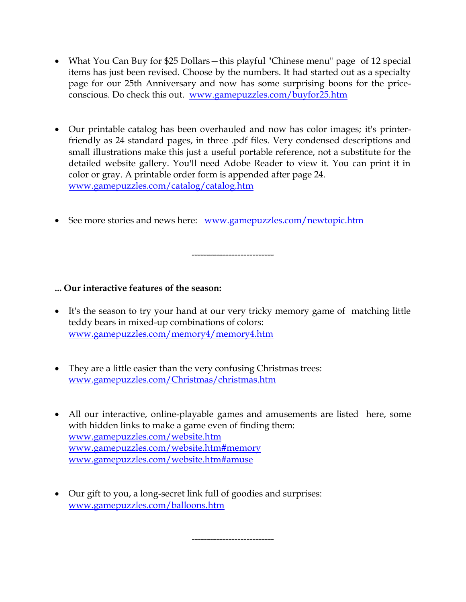- What You Can Buy for \$25 Dollars—this playful "Chinese menu" page of 12 special items has just been revised. Choose by the numbers. It had started out as a specialty page for our 25th Anniversary and now has some surprising boons for the priceconscious. Do check this out. [www.gamepuzzles.com/buyfor25.htm](http://www.gamepuzzles.com/buyfor25.htm)
- Our printable catalog has been overhauled and now has color images; it's printerfriendly as 24 standard pages, in three .pdf files. Very condensed descriptions and small illustrations make this just a useful portable reference, not a substitute for the detailed website gallery. You'll need Adobe Reader to view it. You can print it in color or gray. A printable order form is appended after page 24. [www.gamepuzzles.com/catalog/catalog.htm](http://www.gamepuzzles.com/catalog/catalog.htm)
- See more stories and news here: [www.gamepuzzles.com/newtopic.htm](http://www.gamepuzzles.com/newtopic.htm)

---------------------------

### **... Our interactive features of the season:**

- It's the season to try your hand at our very tricky memory game of matching little teddy bears in mixed-up combinations of colors: [www.gamepuzzles.com/memory4/memory4.htm](http://www.gamepuzzles.com/memory4/memory4.htm)
- They are a little easier than the very confusing Christmas trees: [www.gamepuzzles.com/Christmas/christmas.htm](http://www.gamepuzzles.com/Christmas/christmas.htm)
- All our interactive, online-playable games and amusements are listed here, some with hidden links to make a game even of finding them: [www.gamepuzzles.com/website.htm](http://www.gamepuzzles.com/website.htm) [www.gamepuzzles.com/website.htm#memory](http://www.gamepuzzles.com/website.htm#memory) [www.gamepuzzles.com/website.htm#amuse](http://www.gamepuzzles.com/website.htm#amuse)
- Our gift to you, a long-secret link full of goodies and surprises: [www.gamepuzzles.com/balloons.htm](http://www.gamepuzzles.com/balloons.htm)

---------------------------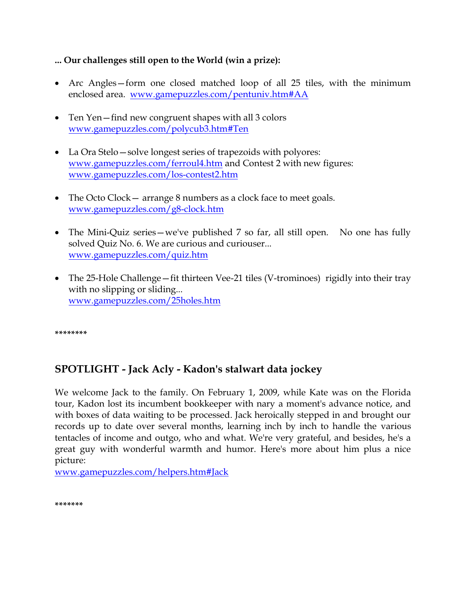### **... Our challenges still open to the World (win a prize):**

- Arc Angles—form one closed matched loop of all 25 tiles, with the minimum enclosed area. [www.gamepuzzles.com/pentuniv.htm#AA](http://www.gamepuzzles.com/pentuniv.htm#AA)
- Ten Yen find new congruent shapes with all 3 colors [www.gamepuzzles.com/polycub3.htm#Ten](http://www.gamepuzzles.com/polycub3.htm#Ten)
- La Ora Stelo—solve longest series of trapezoids with polyores: [www.gamepuzzles.com/ferroul4.htm](http://www.gamepuzzles.com/ferroul4.htm) and Contest 2 with new figures: [www.gamepuzzles.com/los-contest2.htm](http://www.gamepuzzles.com/los-contest2.htm)
- The Octo Clock arrange 8 numbers as a clock face to meet goals. [www.gamepuzzles.com/g8-clock.htm](http://www.gamepuzzles.com/g8-clock.htm)
- The Mini-Quiz series—we've published 7 so far, all still open. No one has fully solved Quiz No. 6. We are curious and curiouser... [www.gamepuzzles.com/quiz.htm](http://www.gamepuzzles.com/quiz.htm)
- The 25-Hole Challenge fit thirteen Vee-21 tiles (V-trominoes) rigidly into their tray with no slipping or sliding... [www.gamepuzzles.com/25holes.htm](http://www.gamepuzzles.com/25holes.htm)

**\*\*\*\*\*\*\*\***

# **SPOTLIGHT - Jack Acly - Kadon's stalwart data jockey**

We welcome Jack to the family. On February 1, 2009, while Kate was on the Florida tour, Kadon lost its incumbent bookkeeper with nary a moment's advance notice, and with boxes of data waiting to be processed. Jack heroically stepped in and brought our records up to date over several months, learning inch by inch to handle the various tentacles of income and outgo, who and what. We're very grateful, and besides, he's a great guy with wonderful warmth and humor. Here's more about him plus a nice picture:

[www.gamepuzzles.com/helpers.htm#Jack](http://www.gamepuzzles.com/helpers.htm#Jack)

**\*\*\*\*\*\*\***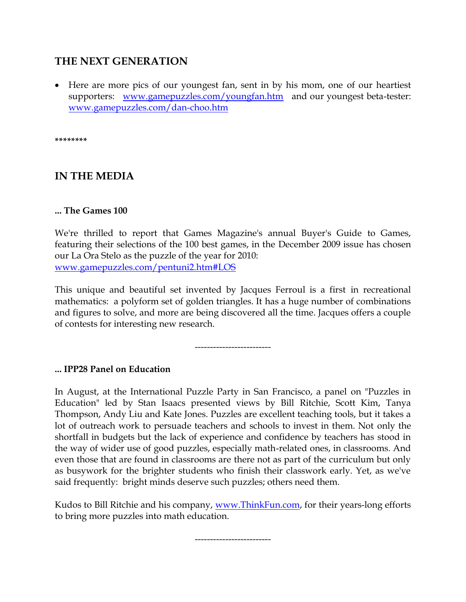## **THE NEXT GENERATION**

 Here are more pics of our youngest fan, sent in by his mom, one of our heartiest supporters: [www.gamepuzzles.com/youngfan.htm](http://www.gamepuzzles.com/youngfan.htm) and our youngest beta-tester: [www.gamepuzzles.com/dan-choo.htm](http://www.gamepuzzles.com/dan-choo.htm)

**\*\*\*\*\*\*\*\***

## **IN THE MEDIA**

### **... The Games 100**

We're thrilled to report that Games Magazine's annual Buyer's Guide to Games, featuring their selections of the 100 best games, in the December 2009 issue has chosen our La Ora Stelo as the puzzle of the year for 2010: [www.gamepuzzles.com/pentuni2.htm#LOS](http://www.gamepuzzles.com/pentuni2.htm#LOS)

This unique and beautiful set invented by Jacques Ferroul is a first in recreational mathematics: a polyform set of golden triangles. It has a huge number of combinations and figures to solve, and more are being discovered all the time. Jacques offers a couple of contests for interesting new research.

-------------------------

### **... IPP28 Panel on Education**

In August, at the International Puzzle Party in San Francisco, a panel on "Puzzles in Education" led by Stan Isaacs presented views by Bill Ritchie, Scott Kim, Tanya Thompson, Andy Liu and Kate Jones. Puzzles are excellent teaching tools, but it takes a lot of outreach work to persuade teachers and schools to invest in them. Not only the shortfall in budgets but the lack of experience and confidence by teachers has stood in the way of wider use of good puzzles, especially math-related ones, in classrooms. And even those that are found in classrooms are there not as part of the curriculum but only as busywork for the brighter students who finish their classwork early. Yet, as we've said frequently: bright minds deserve such puzzles; others need them.

Kudos to Bill Ritchie and his company, [www.ThinkFun.com,](http://www.thinkfun.com/) for their years-long efforts to bring more puzzles into math education.

-------------------------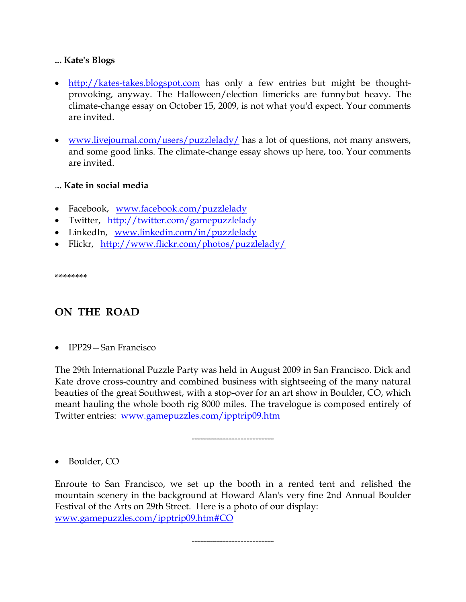### **... Kate's Blogs**

- [http://kates-takes.blogspot.com](http://kates-takes.blogspot.com/) has only a few entries but might be thoughtprovoking, anyway. The Halloween/election limericks are funnybut heavy. The climate-change essay on October 15, 2009, is not what you'd expect. Your comments are invited.
- [www.livejournal.com/users/puzzlelady/](http://www.livejournal.com/users/puzzlelady/) has a lot of questions, not many answers, and some good links. The climate-change essay shows up here, too. Your comments are invited.

### .**.. Kate in social media**

- Facebook, [www.facebook.com/puzzlelady](http://www.facebook.com/puzzlelady)
- Twitter, <http://twitter.com/gamepuzzlelady>
- LinkedIn, [www.linkedin.com/in/puzzlelady](http://www.linkedin.com/in/puzzlelady)
- Flickr, <http://www.flickr.com/photos/puzzlelady/>

**\*\*\*\*\*\*\*\***

# **ON THE ROAD**

IPP29—San Francisco

The 29th International Puzzle Party was held in August 2009 in San Francisco. Dick and Kate drove cross-country and combined business with sightseeing of the many natural beauties of the great Southwest, with a stop-over for an art show in Boulder, CO, which meant hauling the whole booth rig 8000 miles. The travelogue is composed entirely of Twitter entries: [www.gamepuzzles.com/ipptrip09.htm](http://www.gamepuzzles.com/ipptrip09.htm)

---------------------------

• Boulder, CO

Enroute to San Francisco, we set up the booth in a rented tent and relished the mountain scenery in the background at Howard Alan's very fine 2nd Annual Boulder Festival of the Arts on 29th Street. Here is a photo of our display: [www.gamepuzzles.com/ipptrip09.htm#CO](http://www.gamepuzzles.com/ipptrip09.htm#CO)

---------------------------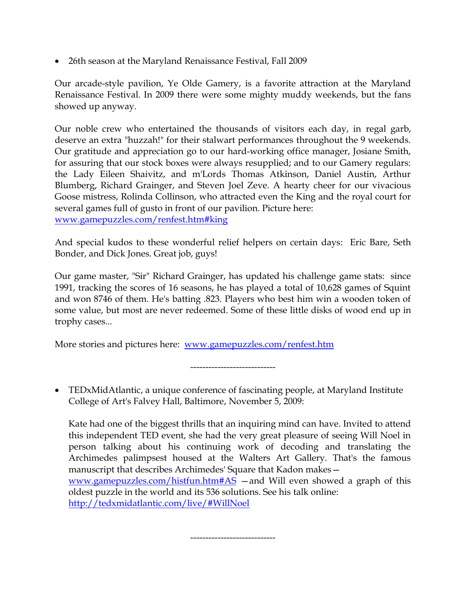26th season at the Maryland Renaissance Festival, Fall 2009

Our arcade-style pavilion, Ye Olde Gamery, is a favorite attraction at the Maryland Renaissance Festival. In 2009 there were some mighty muddy weekends, but the fans showed up anyway.

Our noble crew who entertained the thousands of visitors each day, in regal garb, deserve an extra "huzzah!" for their stalwart performances throughout the 9 weekends. Our gratitude and appreciation go to our hard-working office manager, Josiane Smith, for assuring that our stock boxes were always resupplied; and to our Gamery regulars: the Lady Eileen Shaivitz, and m'Lords Thomas Atkinson, Daniel Austin, Arthur Blumberg, Richard Grainger, and Steven Joel Zeve. A hearty cheer for our vivacious Goose mistress, Rolinda Collinson, who attracted even the King and the royal court for several games full of gusto in front of our pavilion. Picture here: [www.gamepuzzles.com/renfest.htm#king](http://www.gamepuzzles.com/renfest.htm#king)

And special kudos to these wonderful relief helpers on certain days: Eric Bare, Seth Bonder, and Dick Jones. Great job, guys!

Our game master, "Sir" Richard Grainger, has updated his challenge game stats: since 1991, tracking the scores of 16 seasons, he has played a total of 10,628 games of Squint and won 8746 of them. He's batting .823. Players who best him win a wooden token of some value, but most are never redeemed. Some of these little disks of wood end up in trophy cases...

More stories and pictures here: [www.gamepuzzles.com/renfest.htm](http://www.gamepuzzles.com/renfest.htm)

----------------------------

 TEDxMidAtlantic, a unique conference of fascinating people, at Maryland Institute College of Art's Falvey Hall, Baltimore, November 5, 2009:

Kate had one of the biggest thrills that an inquiring mind can have. Invited to attend this independent TED event, she had the very great pleasure of seeing Will Noel in person talking about his continuing work of decoding and translating the Archimedes palimpsest housed at the Walters Art Gallery. That's the famous manuscript that describes Archimedes' Square that Kadon makes—

[www.gamepuzzles.com/histfun.htm#AS](http://www.gamepuzzles.com/histfun.htm#AS) —and Will even showed a graph of this oldest puzzle in the world and its 536 solutions. See his talk online: <http://tedxmidatlantic.com/live/#WillNoel>

----------------------------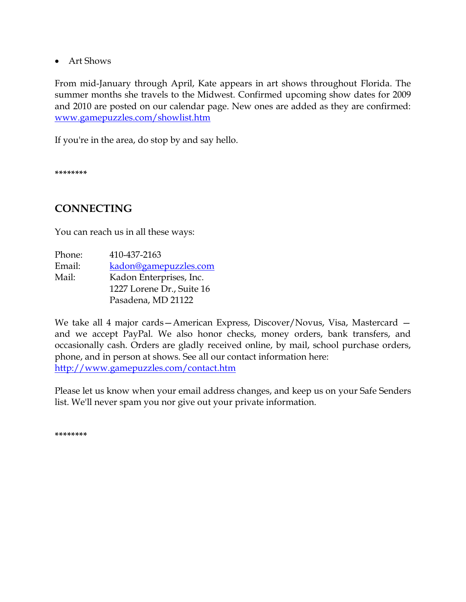Art Shows

From mid-January through April, Kate appears in art shows throughout Florida. The summer months she travels to the Midwest. Confirmed upcoming show dates for 2009 and 2010 are posted on our calendar page. New ones are added as they are confirmed: [www.gamepuzzles.com/showlist.htm](http://www.gamepuzzles.com/showlist.htm)

If you're in the area, do stop by and say hello.

**\*\*\*\*\*\*\*\***

## **CONNECTING**

You can reach us in all these ways:

| Phone: | 410-437-2163              |
|--------|---------------------------|
| Email: | kadon@gamepuzzles.com     |
| Mail:  | Kadon Enterprises, Inc.   |
|        | 1227 Lorene Dr., Suite 16 |
|        | Pasadena, MD 21122        |

We take all 4 major cards—American Express, Discover/Novus, Visa, Mastercard and we accept PayPal. We also honor checks, money orders, bank transfers, and occasionally cash. Orders are gladly received online, by mail, school purchase orders, phone, and in person at shows. See all our contact information here: <http://www.gamepuzzles.com/contact.htm>

Please let us know when your email address changes, and keep us on your Safe Senders list. We'll never spam you nor give out your private information.

**\*\*\*\*\*\*\*\***